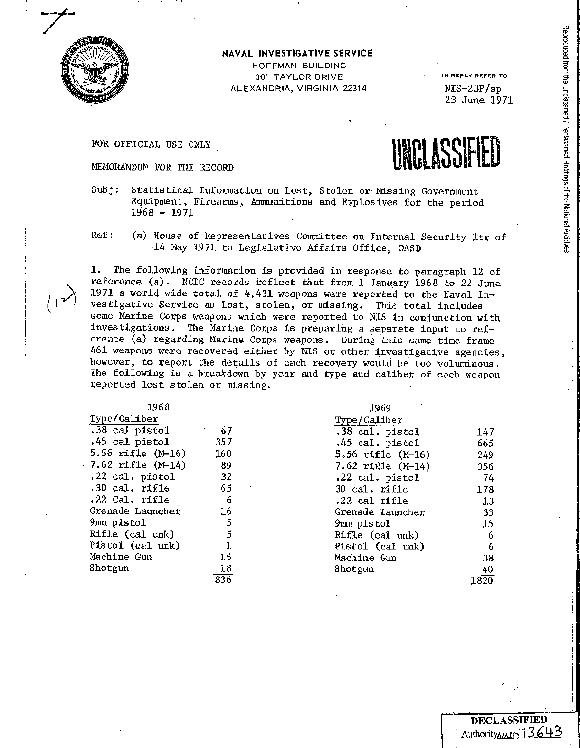

## **NAVAL INVESTIGATIVE SERVICE**

HOFFMAN BUILDING 301 TAYLOR DRIVE ALEXANDRIA, VIRGINIA 22314

**IN REPLY REFER** TO NIS-23P/sp 23 June 1971

FOR OFFICIAL USE ONLY



- Subj: Statistical Information on Lost, Stolen or Missing Government Equipment, Firearms, Anununitions and Explosives for the period  $1968 - 1971$
- Ref: (a) House of Representatives Committee on Internal Security ltr of 14 May 1971 to Legislative Affairs Office, OASD

The following information is provided in response to paragraph 12 of reference (a). NCIC records reflect that from 1 January 1968 to 22 June 1971 a world wide total of 4,431 weapons were reported to the Naval Investigative Service as lost, stolen, or missing. This total includes some Marine Corps weapons which were reported to NIS in conjunction with investigations. The Marine Corps is preparing a separate input to reference (a) regarding Marine Corps weapons. During this same time frame 461 weapons were recovered either by NIS or other investigative agencies, however, to report the details of each recovery would be too voluminous. The following is a breakdown by year and type and caliber of each weapon reported lost stolen or missing.

| 1968                 |     | 1969                |       |
|----------------------|-----|---------------------|-------|
| Type/Caliber         |     | Type/Caliber        |       |
| $.38$ cal pistol     | -67 | .38 cal. pistol     | 147   |
| .45 cal pistol       | 357 | .45 cal. pistol     | 665   |
| 5.56 rifle (M-16)    | 160 | 5.56 rifle $(M-16)$ | 249   |
| 7.62 $righte$ (M-14) | 89  | 7.62 rifle $(M-14)$ | 356   |
| $.22$ cal. pistol    | 32  | .22 cal. pistol     | $-74$ |
| $.30$ cal. rifle     | 65  | $30$ cal. rifle     | 178   |
| $.22$ Cal. rifle     | 6   | .22 cal rifle       | $-13$ |
| Grenade Launcher     | 16  | Grenade Launcher    | -33   |
| 9mm pistol           | 5   | 9mm pistol          | 15    |
| Rifle (cal unk)      | 5   | Rifle (cal unk)     | 6     |
| Pistol (cal unk)     |     | Pistol (cal unk)    | 6     |
| Machine Gun          | 15  | Machine Gun         | $-38$ |
| Shotgun              | 18  | Shotgun             | 40    |
|                      | 836 |                     | 1820  |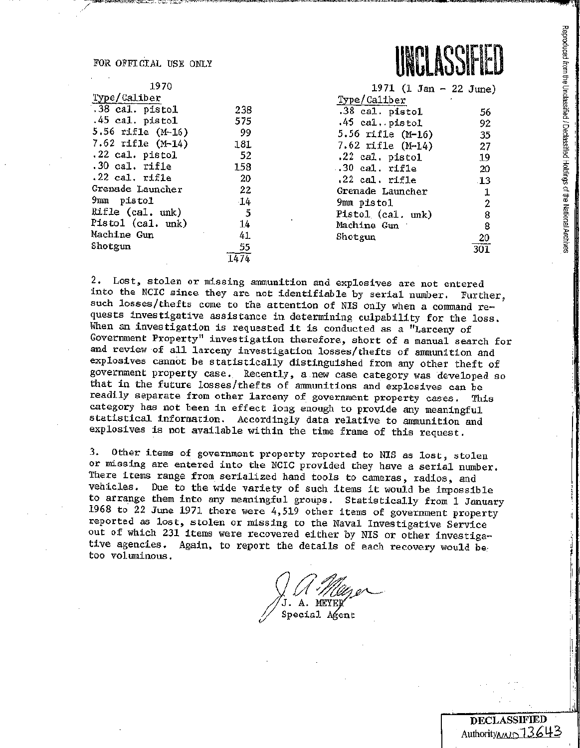FOR OFFICIAL USE ONLY



\_ <sup>~</sup>-.- ~- - ·--~- .-·----<!.'"~ = ·--~-~-;;,.~~~~-~ ~-·-:-!<,J~•c,;,r~=~ .. ~~ I

| 1970                  |      | 1971 (1 Jan - 22 June        |                 |
|-----------------------|------|------------------------------|-----------------|
| Type/Caliber          |      | Type/Caliber<br>$\mathbf{r}$ |                 |
| .38 cal. pistol       | 238  | .38 cal. pistol              | 56              |
| $.45$ cal. pistol     | 575  | $.45$ cal. pistol            | 92              |
| 5.56 rifle (M-16)     | 99   | 5.56 rifle (M-16)            | 35              |
| $7.62$ rifle $(M-14)$ | 181  | 7.62 rifle $(M-14)$          | 27              |
| .22 cal. pistol       | - 52 | .22 cal. pistol              | 19              |
| .30 cal. rifle        | 158  | $.30$ cal. rifle             | 20              |
| $.22$ cal. rifle      | 20   | .22 cal. rifle               | $\overline{13}$ |
| Grenade Launcher      | 22   | Grenade Launcher             | $\mathbf 1$     |
| 9mm pistol            | 14   | 9mm pistol                   | $\overline{2}$  |
| Rifle (cal. unk)      | 5    | Pistol (cal. unk)            | 8               |
| Pistol (cal. unk)     | 14   | Machine Gun                  | 8               |
| Machine Gun           | 41   | Shotgun                      | 20              |
| Shotgun               | 55   |                              | 301             |
|                       | 1474 |                              |                 |



2. Lost, stolen or missing annnunition and explosives are not entered into the NCIC since they are not identifiable by serial number. Further, such losses/thefts come to the attention of NIS only when a command requests investigative assistance in determining culpability for the loss, When an investigation is requested it is conducted as a "Larceny of Government Property" investigation therefore, short of a manual search for and review of all larceny investigation losses/thefts of ammunition and explosives cannot be statistically distinguished from any other theft of government property case. Recently, <sup>a</sup>new case category was developed so that in the future losses/thefts of ammunitions and explosives can be readily separate from other larceny of government property cases, This category has not been in effect long enough to provide any meaningful statistical information. Accordingly data relative to ammunition and explosives is not available within the time frame of this request.

-:,;-,ce,~"''-~•"·-=-:i:-.x:;;;0«:;;,:;;A,-,-,",Si:!.,.-.,-.~--""~•=~~c•·~- ,.. --:a=

3, Other items of government property reported to NIS as lost, stolen or missing are entered into the NCIC provided they have a serial number. There items range from serialized hand tools to cameras, radios, and vehicles. Due to the wide variety of such items it would be impossible to arrange them into any meaningful groups. Statistically from 1 January 1968 to  $22$  June 1971 there were 4,519 other items of government property reported as lost, stolen or missing to the Naval Investigative Service out of which 231 items were recovered either by NIS or other investigative agencies. Again, to report the details of each recovery would betoo voluminous •

A. MEYEL Special Agent

I I <sup>I</sup>